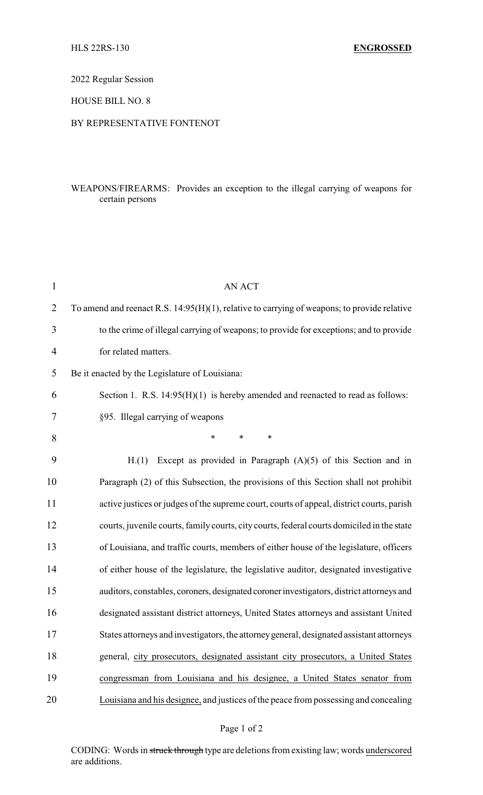2022 Regular Session

HOUSE BILL NO. 8

## BY REPRESENTATIVE FONTENOT

## WEAPONS/FIREARMS: Provides an exception to the illegal carrying of weapons for certain persons

| $\mathbf{1}$   | <b>AN ACT</b>                                                                                  |
|----------------|------------------------------------------------------------------------------------------------|
| $\overline{2}$ | To amend and reenact R.S. $14:95(H)(1)$ , relative to carrying of weapons; to provide relative |
| 3              | to the crime of illegal carrying of weapons; to provide for exceptions; and to provide         |
| 4              | for related matters.                                                                           |
| 5              | Be it enacted by the Legislature of Louisiana:                                                 |
| 6              | Section 1. R.S. $14:95(H)(1)$ is hereby amended and reenacted to read as follows:              |
| 7              | §95. Illegal carrying of weapons                                                               |
| 8              | $\ast$<br>$\ast$<br>*                                                                          |
| 9              | Except as provided in Paragraph $(A)(5)$ of this Section and in<br>H.(1)                       |
| 10             | Paragraph (2) of this Subsection, the provisions of this Section shall not prohibit            |
| 11             | active justices or judges of the supreme court, courts of appeal, district courts, parish      |
| 12             | courts, juvenile courts, family courts, city courts, federal courts domiciled in the state     |
| 13             | of Louisiana, and traffic courts, members of either house of the legislature, officers         |
| 14             | of either house of the legislature, the legislative auditor, designated investigative          |
| 15             | auditors, constables, coroners, designated coroner investigators, district attorneys and       |
| 16             | designated assistant district attorneys, United States attorneys and assistant United          |
| 17             | States attorneys and investigators, the attorney general, designated assistant attorneys       |
| 18             | general, city prosecutors, designated assistant city prosecutors, a United States              |
| 19             | congressman from Louisiana and his designee, a United States senator from                      |
| 20             | Louisiana and his designee, and justices of the peace from possessing and concealing           |

CODING: Words in struck through type are deletions from existing law; words underscored are additions.